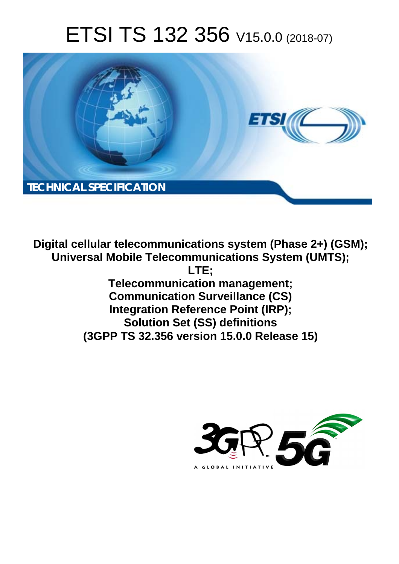# ETSI TS 132 356 V15.0.0 (2018-07)



**Digital cellular telecommunications system (Phase 2+) (GSM); Universal Mobile Telecommunications System (UMTS); LTE; Telecommunication management; Communication Surveillance (CS) Integration Reference Point (IRP); Solution Set (SS) definitions (3GPP TS 32.356 version 15.0.0 Release 15)** 

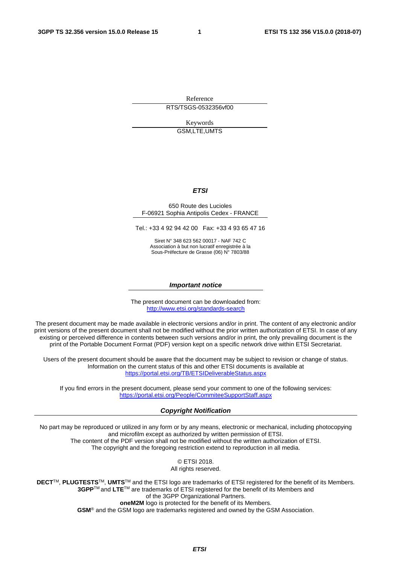Reference RTS/TSGS-0532356vf00

> Keywords GSM,LTE,UMTS

#### *ETSI*

#### 650 Route des Lucioles F-06921 Sophia Antipolis Cedex - FRANCE

Tel.: +33 4 92 94 42 00 Fax: +33 4 93 65 47 16

Siret N° 348 623 562 00017 - NAF 742 C Association à but non lucratif enregistrée à la Sous-Préfecture de Grasse (06) N° 7803/88

#### *Important notice*

The present document can be downloaded from: <http://www.etsi.org/standards-search>

The present document may be made available in electronic versions and/or in print. The content of any electronic and/or print versions of the present document shall not be modified without the prior written authorization of ETSI. In case of any existing or perceived difference in contents between such versions and/or in print, the only prevailing document is the print of the Portable Document Format (PDF) version kept on a specific network drive within ETSI Secretariat.

Users of the present document should be aware that the document may be subject to revision or change of status. Information on the current status of this and other ETSI documents is available at <https://portal.etsi.org/TB/ETSIDeliverableStatus.aspx>

If you find errors in the present document, please send your comment to one of the following services: <https://portal.etsi.org/People/CommiteeSupportStaff.aspx>

#### *Copyright Notification*

No part may be reproduced or utilized in any form or by any means, electronic or mechanical, including photocopying and microfilm except as authorized by written permission of ETSI. The content of the PDF version shall not be modified without the written authorization of ETSI. The copyright and the foregoing restriction extend to reproduction in all media.

> © ETSI 2018. All rights reserved.

**DECT**TM, **PLUGTESTS**TM, **UMTS**TM and the ETSI logo are trademarks of ETSI registered for the benefit of its Members. **3GPP**TM and **LTE**TM are trademarks of ETSI registered for the benefit of its Members and of the 3GPP Organizational Partners. **oneM2M** logo is protected for the benefit of its Members.

**GSM**® and the GSM logo are trademarks registered and owned by the GSM Association.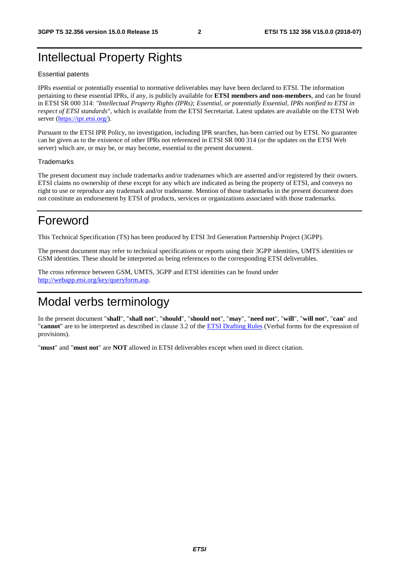#### Intellectual Property Rights

#### Essential patents

IPRs essential or potentially essential to normative deliverables may have been declared to ETSI. The information pertaining to these essential IPRs, if any, is publicly available for **ETSI members and non-members**, and can be found in ETSI SR 000 314: *"Intellectual Property Rights (IPRs); Essential, or potentially Essential, IPRs notified to ETSI in respect of ETSI standards"*, which is available from the ETSI Secretariat. Latest updates are available on the ETSI Web server ([https://ipr.etsi.org/\)](https://ipr.etsi.org/).

Pursuant to the ETSI IPR Policy, no investigation, including IPR searches, has been carried out by ETSI. No guarantee can be given as to the existence of other IPRs not referenced in ETSI SR 000 314 (or the updates on the ETSI Web server) which are, or may be, or may become, essential to the present document.

#### **Trademarks**

The present document may include trademarks and/or tradenames which are asserted and/or registered by their owners. ETSI claims no ownership of these except for any which are indicated as being the property of ETSI, and conveys no right to use or reproduce any trademark and/or tradename. Mention of those trademarks in the present document does not constitute an endorsement by ETSI of products, services or organizations associated with those trademarks.

#### Foreword

This Technical Specification (TS) has been produced by ETSI 3rd Generation Partnership Project (3GPP).

The present document may refer to technical specifications or reports using their 3GPP identities, UMTS identities or GSM identities. These should be interpreted as being references to the corresponding ETSI deliverables.

The cross reference between GSM, UMTS, 3GPP and ETSI identities can be found under [http://webapp.etsi.org/key/queryform.asp.](http://webapp.etsi.org/key/queryform.asp)

#### Modal verbs terminology

In the present document "**shall**", "**shall not**", "**should**", "**should not**", "**may**", "**need not**", "**will**", "**will not**", "**can**" and "**cannot**" are to be interpreted as described in clause 3.2 of the [ETSI Drafting Rules](https://portal.etsi.org/Services/editHelp!/Howtostart/ETSIDraftingRules.aspx) (Verbal forms for the expression of provisions).

"**must**" and "**must not**" are **NOT** allowed in ETSI deliverables except when used in direct citation.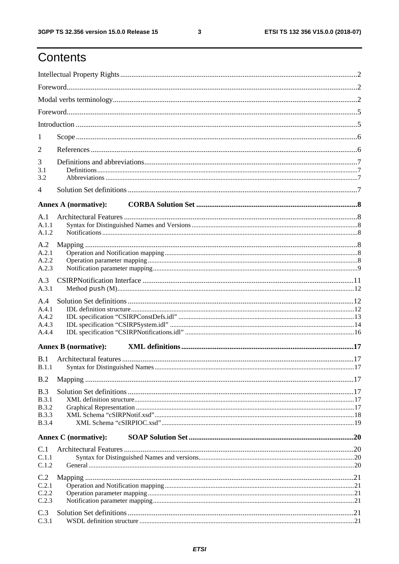### Contents

| 1                                                                   |                             |  |
|---------------------------------------------------------------------|-----------------------------|--|
| 2                                                                   |                             |  |
| 3<br>3.1<br>3.2                                                     |                             |  |
| 4                                                                   |                             |  |
|                                                                     |                             |  |
|                                                                     | <b>Annex A (normative):</b> |  |
| A.1<br>A.1.1<br>A.1.2                                               |                             |  |
| A.2                                                                 |                             |  |
| A.2.1<br>A.2.2                                                      |                             |  |
| A.2.3                                                               |                             |  |
| A.3<br>A.3.1                                                        |                             |  |
| A.4<br>A.4.1<br>A.4.2<br>A.4.3<br>A.4.4                             |                             |  |
|                                                                     | <b>Annex B</b> (normative): |  |
| B.1                                                                 |                             |  |
| B.2                                                                 |                             |  |
| B.3<br><b>B.3.1</b><br><b>B.3.2</b><br><b>B.3.3</b><br><b>B.3.4</b> |                             |  |
|                                                                     | <b>Annex C</b> (normative): |  |
| C.1<br>C.1.1<br>C.1.2                                               |                             |  |
| C.2<br>C.2.1<br>C.2.2<br>C.2.3                                      |                             |  |
| C.3<br>C.3.1                                                        |                             |  |

 $\mathbf{3}$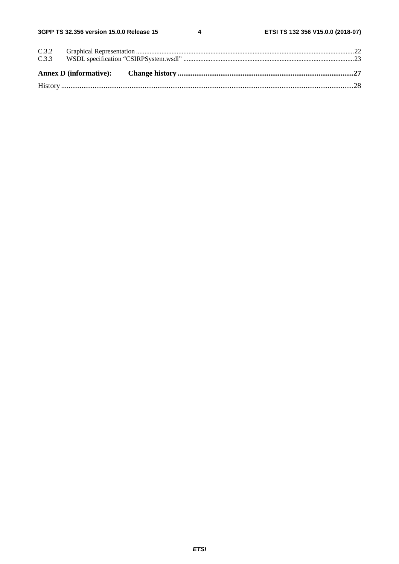$\overline{\mathbf{4}}$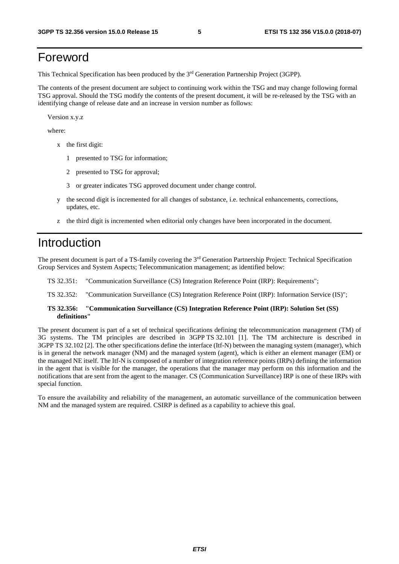#### Foreword

This Technical Specification has been produced by the 3rd Generation Partnership Project (3GPP).

The contents of the present document are subject to continuing work within the TSG and may change following formal TSG approval. Should the TSG modify the contents of the present document, it will be re-released by the TSG with an identifying change of release date and an increase in version number as follows:

Version x.y.z

where:

- x the first digit:
	- 1 presented to TSG for information;
	- 2 presented to TSG for approval;
	- 3 or greater indicates TSG approved document under change control.
- y the second digit is incremented for all changes of substance, i.e. technical enhancements, corrections, updates, etc.
- z the third digit is incremented when editorial only changes have been incorporated in the document.

#### Introduction

The present document is part of a TS-family covering the 3rd Generation Partnership Project: Technical Specification Group Services and System Aspects; Telecommunication management; as identified below:

- TS 32.351: "Communication Surveillance (CS) Integration Reference Point (IRP): Requirements";
- TS 32.352: "Communication Surveillance (CS) Integration Reference Point (IRP): Information Service (IS)";
- **TS 32.356: "Communication Surveillance (CS) Integration Reference Point (IRP): Solution Set (SS) definitions"**

The present document is part of a set of technical specifications defining the telecommunication management (TM) of 3G systems. The TM principles are described in 3GPP TS 32.101 [1]. The TM architecture is described in 3GPP TS 32.102 [2]. The other specifications define the interface (Itf-N) between the managing system (manager), which is in general the network manager (NM) and the managed system (agent), which is either an element manager (EM) or the managed NE itself. The Itf-N is composed of a number of integration reference points (IRPs) defining the information in the agent that is visible for the manager, the operations that the manager may perform on this information and the notifications that are sent from the agent to the manager. CS (Communication Surveillance) IRP is one of these IRPs with special function.

To ensure the availability and reliability of the management, an automatic surveillance of the communication between NM and the managed system are required. CSIRP is defined as a capability to achieve this goal.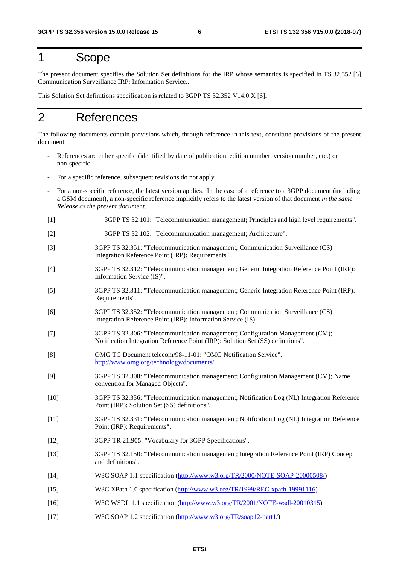#### 1 Scope

The present document specifies the Solution Set definitions for the IRP whose semantics is specified in TS 32.352 [6] Communication Surveillance IRP: Information Service..

This Solution Set definitions specification is related to 3GPP TS 32.352 V14.0.X [6].

#### 2 References

The following documents contain provisions which, through reference in this text, constitute provisions of the present document.

- References are either specific (identified by date of publication, edition number, version number, etc.) or non-specific.
- For a specific reference, subsequent revisions do not apply.
- For a non-specific reference, the latest version applies. In the case of a reference to a 3GPP document (including a GSM document), a non-specific reference implicitly refers to the latest version of that document *in the same Release as the present document*.
- [1] 3GPP TS 32.101: "Telecommunication management; Principles and high level requirements".
- [2] 3GPP TS 32.102: "Telecommunication management; Architecture".
- [3] 3GPP TS 32.351: "Telecommunication management; Communication Surveillance (CS) Integration Reference Point (IRP): Requirements".
- [4] 3GPP TS 32.312: "Telecommunication management; Generic Integration Reference Point (IRP): Information Service (IS)".
- [5] 3GPP TS 32.311: "Telecommunication management; Generic Integration Reference Point (IRP): Requirements".
- [6] 3GPP TS 32.352: "Telecommunication management; Communication Surveillance (CS) Integration Reference Point (IRP): Information Service (IS)".
- [7] 3GPP TS 32.306: "Telecommunication management; Configuration Management (CM); Notification Integration Reference Point (IRP): Solution Set (SS) definitions".
- [8] OMG TC Document telecom/98-11-01: "OMG Notification Service". <http://www.omg.org/technology/documents/>
- [9] 3GPP TS 32.300: "Telecommunication management; Configuration Management (CM); Name convention for Managed Objects".
- [10] 3GPP TS 32.336: "Telecommunication management; Notification Log (NL) Integration Reference Point (IRP): Solution Set (SS) definitions".
- [11] 3GPP TS 32.331: "Telecommunication management; Notification Log (NL) Integration Reference Point (IRP): Requirements".
- [12] 3GPP TR 21.905: "Vocabulary for 3GPP Specifications".
- [13] 3GPP TS 32.150: "Telecommunication management; Integration Reference Point (IRP) Concept and definitions".
- [14] W3C SOAP 1.1 specification [\(http://www.w3.org/TR/2000/NOTE-SOAP-20000508/](http://www.w3.org/TR/2000/NOTE-SOAP-20000508/))
- [15] W3C XPath 1.0 specification ([http://www.w3.org/TR/1999/REC-xpath-19991116\)](http://www.w3.org/TR/1999/REC-xpath-19991116)
- [16] W3C WSDL 1.1 specification (<http://www.w3.org/TR/2001/NOTE-wsdl-20010315>)
- [17] W3C SOAP 1.2 specification [\(http://www.w3.org/TR/soap12-part1/](http://www.w3.org/TR/soap12-part1/))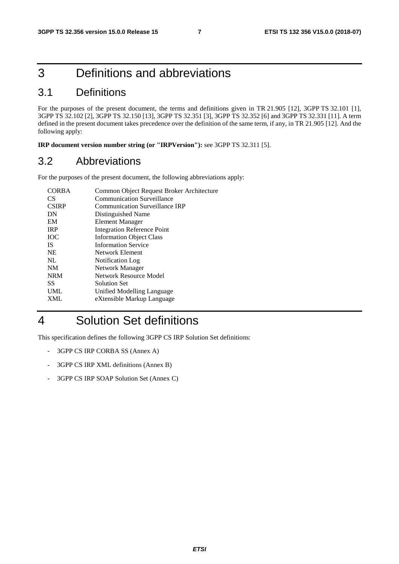### 3 Definitions and abbreviations

#### 3.1 Definitions

For the purposes of the present document, the terms and definitions given in TR 21.905 [12], 3GPP TS 32.101 [1], 3GPP TS 32.102 [2], 3GPP TS 32.150 [13], 3GPP TS 32.351 [3], 3GPP TS 32.352 [6] and 3GPP TS 32.331 [11]. A term defined in the present document takes precedence over the definition of the same term, if any, in TR 21.905 [12]. And the following apply:

**IRP document version number string (or "IRPVersion"):** see 3GPP TS 32.311 [5].

#### 3.2 Abbreviations

For the purposes of the present document, the following abbreviations apply:

| <b>CORBA</b>    | Common Object Request Broker Architecture |
|-----------------|-------------------------------------------|
| CS <sup>-</sup> | <b>Communication Surveillance</b>         |
| <b>CSIRP</b>    | <b>Communication Surveillance IRP</b>     |
| DN              | Distinguished Name                        |
| EM              | <b>Element Manager</b>                    |
| <b>IRP</b>      | <b>Integration Reference Point</b>        |
| <b>IOC</b>      | <b>Information Object Class</b>           |
| <b>IS</b>       | <b>Information Service</b>                |
| <b>NE</b>       | Network Element                           |
| NL              | Notification Log                          |
| <b>NM</b>       | Network Manager                           |
| <b>NRM</b>      | Network Resource Model                    |
| SS              | Solution Set                              |
| <b>UML</b>      | Unified Modelling Language                |
| <b>XML</b>      | eXtensible Markup Language                |
|                 |                                           |

#### 4 Solution Set definitions

This specification defines the following 3GPP CS IRP Solution Set definitions:

- 3GPP CS IRP CORBA SS (Annex A)
- 3GPP CS IRP XML definitions (Annex B)
- 3GPP CS IRP SOAP Solution Set (Annex C)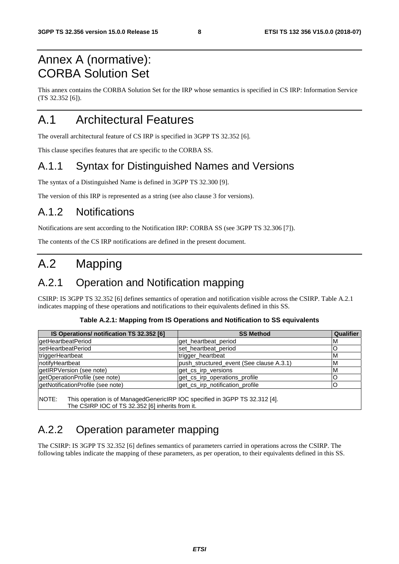### Annex A (normative): CORBA Solution Set

This annex contains the CORBA Solution Set for the IRP whose semantics is specified in CS IRP: Information Service (TS 32.352 [6]).

### A.1 Architectural Features

The overall architectural feature of CS IRP is specified in 3GPP TS 32.352 [6].

This clause specifies features that are specific to the CORBA SS.

#### A.1.1 Syntax for Distinguished Names and Versions

The syntax of a Distinguished Name is defined in 3GPP TS 32.300 [9].

The version of this IRP is represented as a string (see also clause 3 for versions).

#### A.1.2 Notifications

Notifications are sent according to the Notification IRP: CORBA SS (see 3GPP TS 32.306 [7]).

The contents of the CS IRP notifications are defined in the present document.

### A.2 Mapping

#### A.2.1 Operation and Notification mapping

CSIRP: IS 3GPP TS 32.352 [6] defines semantics of operation and notification visible across the CSIRP. Table A.2.1 indicates mapping of these operations and notifications to their equivalents defined in this SS.

| Table A.2.1: Mapping from IS Operations and Notification to SS equivalents |  |  |  |
|----------------------------------------------------------------------------|--|--|--|
|----------------------------------------------------------------------------|--|--|--|

| IS Operations/ notification TS 32.352 [6]                                                                                                | <b>SS Method</b>                         | Qualifier |
|------------------------------------------------------------------------------------------------------------------------------------------|------------------------------------------|-----------|
| getHeartbeatPeriod                                                                                                                       | get heartbeat period                     | ıм        |
| setHeartbeatPeriod                                                                                                                       | set heartbeat period                     | C         |
| triggerHeartbeat                                                                                                                         | trigger_heartbeat                        | M         |
| notifyHeartbeat                                                                                                                          | push_structured_event (See clause A.3.1) | <b>M</b>  |
| getIRPVersion (see note)                                                                                                                 | get cs irp versions                      | M         |
| getOperationProfile (see note)                                                                                                           | get_cs_irp_operations_profile            |           |
| getNotificationProfile (see note)                                                                                                        | get cs_irp_notification_profile          | C         |
| NOTE:<br>This operation is of ManagedGenericIRP IOC specified in 3GPP TS 32.312 [4].<br>The CSIRP IOC of TS 32.352 [6] inherits from it. |                                          |           |

#### A.2.2 Operation parameter mapping

The CSIRP: IS 3GPP TS 32.352 [6] defines semantics of parameters carried in operations across the CSIRP. The following tables indicate the mapping of these parameters, as per operation, to their equivalents defined in this SS.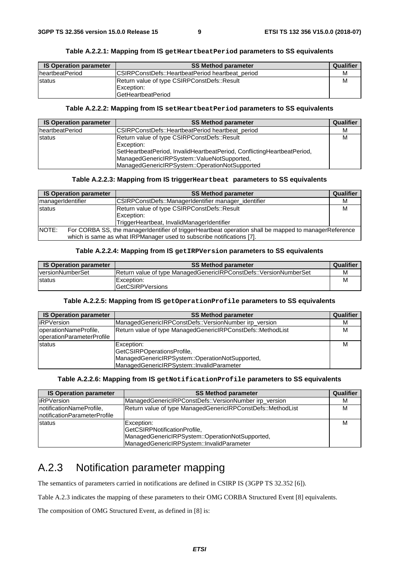|  | Table A.2.2.1: Mapping from IS getHeartbeatPeriod parameters to SS equivalents |
|--|--------------------------------------------------------------------------------|
|--|--------------------------------------------------------------------------------|

| <b>IS Operation parameter</b> | <b>SS Method parameter</b>                       | Qualifier |
|-------------------------------|--------------------------------------------------|-----------|
| IheartbeatPeriod              | CSIRPConstDefs::HeartbeatPeriod heartbeat period | м         |
| <b>status</b>                 | Return value of type CSIRPConstDefs::Result      | М         |
|                               | <b>Exception:</b>                                |           |
|                               | <b>GetHeartbeatPeriod</b>                        |           |

#### **Table A.2.2.2: Mapping from IS setHeartbeatPeriod parameters to SS equivalents**

| <b>IS Operation parameter</b> | <b>SS Method parameter</b>                                                                                                                                                                                                              | Qualifier |
|-------------------------------|-----------------------------------------------------------------------------------------------------------------------------------------------------------------------------------------------------------------------------------------|-----------|
| <b>IheartbeatPeriod</b>       | CSIRPConstDefs::HeartbeatPeriod heartbeat period                                                                                                                                                                                        | M         |
| <b>status</b>                 | Return value of type CSIRPConstDefs::Result<br>Exception:<br>SetHeartbeatPeriod, InvalidHeartbeatPeriod, ConflictingHeartbeatPeriod,<br> ManagedGenericlRPSystem::ValueNotSupported,<br> ManagedGenericlRPSystem::OperationNotSupported | M         |

#### **Table A.2.2.3: Mapping from IS triggerHeartbeat parameters to SS equivalents**

| <b>IS Operation parameter</b> | <b>SS Method parameter</b>                                                                              | Qualifier |
|-------------------------------|---------------------------------------------------------------------------------------------------------|-----------|
| managerIdentifier             | CSIRPConstDefs::ManagerIdentifier manager identifier                                                    | м         |
| <b>status</b>                 | Return value of type CSIRPConstDefs::Result                                                             | М         |
|                               | Exception:                                                                                              |           |
|                               | TriggerHeartbeat, InvalidManagerIdentifier                                                              |           |
| INOTE:                        | For CORBA SS, the manager dentifier of trigger Heartbeat operation shall be mapped to manager Reference |           |
|                               | which is same as what IRPManager used to subscribe notifications [7].                                   |           |

#### **Table A.2.2.4: Mapping from IS getIRPVersion parameters to SS equivalents**

| <b>IS Operation parameter</b> | <b>SS Method parameter</b>                                               | Qualifier |
|-------------------------------|--------------------------------------------------------------------------|-----------|
| <b>versionNumberSet</b>       | <b>Return value of type ManagedGenericIRPConstDefs::VersionNumberSet</b> | M         |
| <b>Istatus</b>                | Exception:                                                               |           |
|                               | <b>GetCSIRPVersions</b>                                                  |           |

#### **Table A.2.2.5: Mapping from IS getOperationProfile parameters to SS equivalents**

| <b>IS Operation parameter</b> | <b>SS Method parameter</b>                                  | Qualifier |
|-------------------------------|-------------------------------------------------------------|-----------|
| <b>IRPVersion</b>             | ManagedGenericIRPConstDefs::VersionNumber irp_version       | М         |
| operationNameProfile,         | Return value of type ManagedGenericIRPConstDefs::MethodList | м         |
| operationParameterProfile     |                                                             |           |
| <b>status</b>                 | Exception:                                                  | м         |
|                               | GetCSIRPOperationsProfile,                                  |           |
|                               | ManagedGenericIRPSystem::OperationNotSupported,             |           |
|                               | ManagedGenericIRPSystem::InvalidParameter                   |           |

#### **Table A.2.2.6: Mapping from IS getNotificationProfile parameters to SS equivalents**

| <b>IS Operation parameter</b>                             | <b>SS Method parameter</b>                                                                                                                  | Qualifier |
|-----------------------------------------------------------|---------------------------------------------------------------------------------------------------------------------------------------------|-----------|
| <b>IRPVersion</b>                                         | ManagedGenericIRPConstDefs::VersionNumber irp version                                                                                       | м         |
| notificationNameProfile,<br>InotificationParameterProfile | Return value of type ManagedGenericIRPConstDefs::MethodList                                                                                 | М         |
| <b>Istatus</b>                                            | Exception:<br>GetCSIRPNotificationProfile,<br> ManagedGenericIRPSystem::OperationNotSupported,<br>ManagedGenericlRPSystem::InvalidParameter | м         |

#### A.2.3 Notification parameter mapping

The semantics of parameters carried in notifications are defined in CSIRP IS (3GPP TS 32.352 [6]).

Table A.2.3 indicates the mapping of these parameters to their OMG CORBA Structured Event [8] equivalents.

The composition of OMG Structured Event, as defined in [8] is: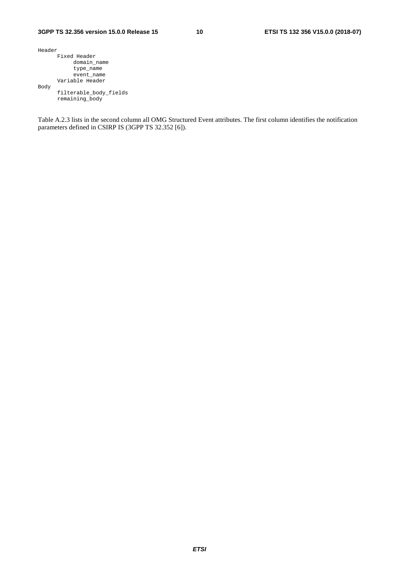| Header |                        |
|--------|------------------------|
|        | Fixed Header           |
|        | domain name            |
|        | type_name              |
|        | event name             |
|        | Variable Header        |
| Body   |                        |
|        | filterable body fields |
|        | remaining body         |

Table A.2.3 lists in the second column all OMG Structured Event attributes. The first column identifies the notification parameters defined in CSIRP IS (3GPP TS 32.352 [6]).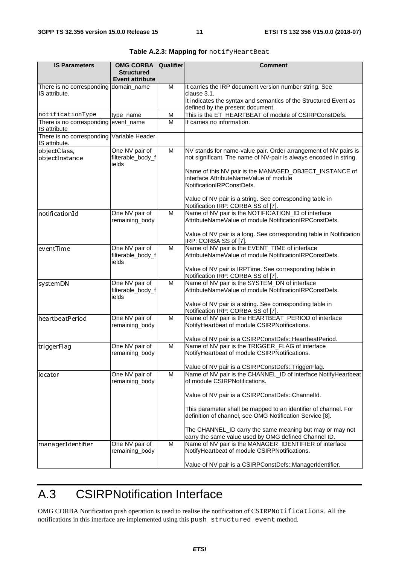| <b>IS Parameters</b>                                       | <b>OMG CORBA</b><br><b>Structured</b><br><b>Event attribute</b> | <b>Qualifier</b> | <b>Comment</b>                                                                                                                                                                                 |
|------------------------------------------------------------|-----------------------------------------------------------------|------------------|------------------------------------------------------------------------------------------------------------------------------------------------------------------------------------------------|
| There is no corresponding domain_name<br>IS attribute.     |                                                                 | M                | It carries the IRP document version number string. See<br>clause 3.1.<br>It indicates the syntax and semantics of the Structured Event as<br>defined by the present document.                  |
| notificationType                                           | type_name                                                       | M                | This is the ET_HEARTBEAT of module of CSIRPConstDefs.                                                                                                                                          |
| There is no corresponding event_name<br>IS attribute       |                                                                 | M                | It carries no information.                                                                                                                                                                     |
| There is no corresponding Variable Header<br>IS attribute. |                                                                 |                  |                                                                                                                                                                                                |
| objectClass,<br>objectInstance                             | One NV pair of<br>filterable_body_f<br>ields                    | M                | NV stands for name-value pair. Order arrangement of NV pairs is<br>not significant. The name of NV-pair is always encoded in string.<br>Name of this NV pair is the MANAGED_OBJECT_INSTANCE of |
|                                                            |                                                                 |                  | interface AttributeNameValue of module<br>NotificationIRPConstDefs.                                                                                                                            |
|                                                            |                                                                 |                  | Value of NV pair is a string. See corresponding table in<br>Notification IRP: CORBA SS of [7].                                                                                                 |
| notificationId                                             | One NV pair of<br>remaining_body                                | M                | Name of NV pair is the NOTIFICATION_ID of interface<br>AttributeNameValue of module NotificationIRPConstDefs.                                                                                  |
|                                                            |                                                                 |                  | Value of NV pair is a long. See corresponding table in Notification<br>IRP: CORBA SS of [7].                                                                                                   |
| eventTime                                                  | One NV pair of<br>filterable_body_f<br>ields                    | M                | Name of NV pair is the EVENT_TIME of interface<br>AttributeNameValue of module NotificationIRPConstDefs.<br>Value of NV pair is IRPTime. See corresponding table in                            |
|                                                            |                                                                 | M                | Notification IRP: CORBA SS of [7].<br>Name of NV pair is the SYSTEM_DN of interface                                                                                                            |
| systemDN                                                   | One NV pair of<br>filterable_body_f<br>ields                    |                  | AttributeNameValue of module NotificationIRPConstDefs.                                                                                                                                         |
|                                                            |                                                                 |                  | Value of NV pair is a string. See corresponding table in<br>Notification IRP: CORBA SS of [7].                                                                                                 |
| heartbeatPeriod                                            | One NV pair of<br>remaining_body                                | M                | Name of NV pair is the HEARTBEAT_PERIOD of interface<br>NotifyHeartbeat of module CSIRPNotifications.                                                                                          |
| triggerFlag                                                | One NV pair of                                                  | M                | Value of NV pair is a CSIRPConstDefs:: HeartbeatPeriod.<br>Name of NV pair is the TRIGGER_FLAG of interface                                                                                    |
|                                                            | remaining_body                                                  |                  | NotifyHeartbeat of module CSIRPNotifications.                                                                                                                                                  |
| llocator                                                   | One NV pair of<br>remaining body                                | M                | Value of NV pair is a CSIRPConstDefs::TriggerFlag.<br>Name of NV pair is the CHANNEL_ID of interface NotifyHeartbeat<br>of module CSIRPNotifications.                                          |
|                                                            |                                                                 |                  | Value of NV pair is a CSIRPConstDefs::Channelld.                                                                                                                                               |
|                                                            |                                                                 |                  | This parameter shall be mapped to an identifier of channel. For<br>definition of channel, see OMG Notification Service [8].                                                                    |
|                                                            |                                                                 |                  | The CHANNEL_ID carry the same meaning but may or may not<br>carry the same value used by OMG defined Channel ID.                                                                               |
| managerIdentifier                                          | One NV pair of<br>remaining_body                                | M                | Name of NV pair is the MANAGER_IDENTIFIER of interface<br>NotifyHeartbeat of module CSIRPNotifications.                                                                                        |
|                                                            |                                                                 |                  | Value of NV pair is a CSIRPConstDefs::ManagerIdentifier.                                                                                                                                       |

|  |  | Table A.2.3: Mapping for notifyHeartBeat |
|--|--|------------------------------------------|
|--|--|------------------------------------------|

### A.3 CSIRPNotification Interface

OMG CORBA Notification push operation is used to realise the notification of CSIRPNotifications. All the notifications in this interface are implemented using this push\_structured\_event method.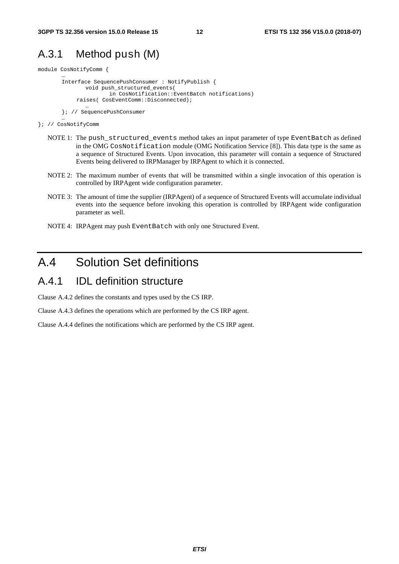#### A.3.1 Method push (M)

module CosNotifyComm {

…

```
Interface SequencePushConsumer : NotifyPublish { 
       void push_structured_events( 
               in CosNotification::EventBatch notifications) 
     raises( CosEventComm::Disconnected); 
       …
```

```
}; // SequencePushConsumer
```

```
… 
}; // CosNotifyComm
```
- NOTE 1: The push\_structured\_events method takes an input parameter of type EventBatch as defined in the OMG CosNotification module (OMG Notification Service [8]). This data type is the same as a sequence of Structured Events. Upon invocation, this parameter will contain a sequence of Structured Events being delivered to IRPManager by IRPAgent to which it is connected.
- NOTE 2: The maximum number of events that will be transmitted within a single invocation of this operation is controlled by IRPAgent wide configuration parameter.
- NOTE 3: The amount of time the supplier (IRPAgent) of a sequence of Structured Events will accumulate individual events into the sequence before invoking this operation is controlled by IRPAgent wide configuration parameter as well.
- NOTE 4: IRPAgent may push EventBatch with only one Structured Event.

### A.4 Solution Set definitions

#### A.4.1 IDL definition structure

Clause A.4.2 defines the constants and types used by the CS IRP.

Clause A.4.3 defines the operations which are performed by the CS IRP agent.

Clause A.4.4 defines the notifications which are performed by the CS IRP agent.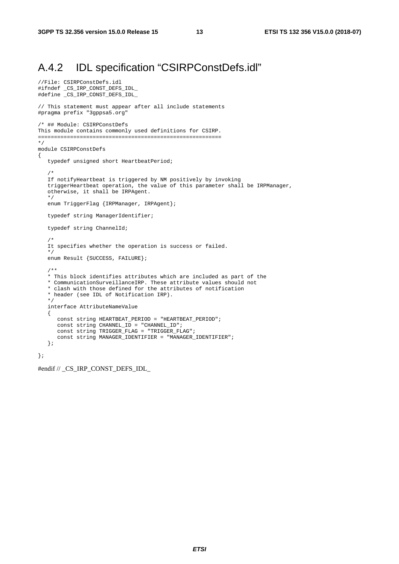#### A.4.2 IDL specification "CSIRPConstDefs.idl"

```
//File: CSIRPConstDefs.idl 
#ifndef _CS_IRP_CONST_DEFS_IDL_ 
#define _CS_IRP_CONST_DEFS_IDL_ 
// This statement must appear after all include statements 
#pragma prefix "3gppsa5.org" 
/* ## Module: CSIRPConstDefs 
This module contains commonly used definitions for CSIRP. 
========================================================= 
*/ 
module CSIRPConstDefs 
{ 
    typedef unsigned short HeartbeatPeriod; 
/ *
    If notifyHeartbeat is triggered by NM positively by invoking 
    triggerHeartbeat operation, the value of this parameter shall be IRPManager, 
    otherwise, it shall be IRPAgent. 
    */ 
    enum TriggerFlag {IRPManager, IRPAgent}; 
    typedef string ManagerIdentifier; 
    typedef string ChannelId; 
    /* 
    It specifies whether the operation is success or failed. 
    */ 
    enum Result {SUCCESS, FAILURE}; 
    /** 
    * This block identifies attributes which are included as part of the 
    * CommunicationSurveillanceIRP. These attribute values should not 
    * clash with those defined for the attributes of notification 
    * header (see IDL of Notification IRP). 
    */ 
    interface AttributeNameValue 
    { 
       const string HEARTBEAT_PERIOD = "HEARTBEAT_PERIOD"; 
      \overline{C} const string CHANNEL_ID = "CHANNEL_ID";
       const string TRIGGER_FLAG = "TRIGGER_FLAG"; 
       const string MANAGER_IDENTIFIER = "MANAGER_IDENTIFIER"; 
    }; 
};
```
#endif // \_CS\_IRP\_CONST\_DEFS\_IDL\_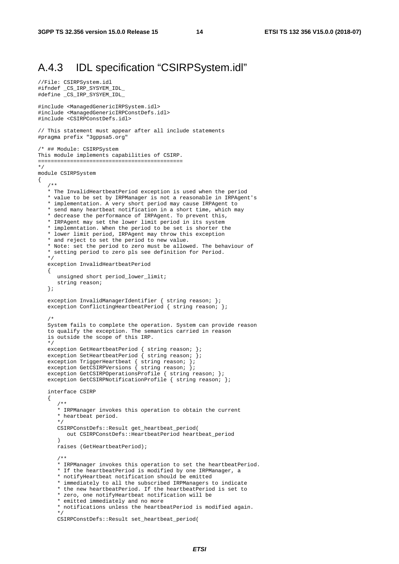#### A.4.3 IDL specification "CSIRPSystem.idl"

```
//File: CSIRPSystem.idl 
#ifndef _CS_IRP_SYSYEM_IDL_ 
#define _CS_IRP_SYSYEM_IDL_ 
#include <ManagedGenericIRPSystem.idl> 
#include <ManagedGenericIRPConstDefs.idl> 
#include <CSIRPConstDefs.idl> 
// This statement must appear after all include statements 
#pragma prefix "3gppsa5.org" 
/* ## Module: CSIRPSystem 
This module implements capabilities of CSIRP. 
============================================= 
*/ 
module CSIRPSystem 
{ 
    /** 
    * The InvalidHeartbeatPeriod exception is used when the period 
    * value to be set by IRPManager is not a reasonable in IRPAgent's 
    * implementation. A very short period may cause IRPAgent to 
    * send many heartbeat notification in a short time, which may 
    * decrease the performance of IRPAgent. To prevent this, 
    * IRPAgent may set the lower limit period in its system 
    * implemntation. When the period to be set is shorter the 
    * lower limit period, IRPAgent may throw this exception 
    * and reject to set the period to new value. 
    * Note: set the period to zero must be allowed. The behaviour of 
    * setting period to zero pls see definition for Period. 
    */ 
    exception InvalidHeartbeatPeriod 
    { 
       unsigned short period_lower_limit; 
       string reason; 
    }; 
   exception InvalidManagerIdentifier { string reason; };
    exception ConflictingHeartbeatPeriod { string reason; }; 
    /* 
    System fails to complete the operation. System can provide reason 
    to qualify the exception. The semantics carried in reason 
    is outside the scope of this IRP. 
    */ 
   exception GetHeartbeatPeriod { string reason; };
   exception SetHeartbeatPeriod { string reason; };
 exception TriggerHeartbeat { string reason; }; 
 exception GetCSIRPVersions { string reason; }; 
   exception GetCSIRPOperationsProfile { string reason; };
   exception GetCSIRPNotificationProfile { string reason; };
    interface CSIRP 
    { 
       /** 
       * IRPManager invokes this operation to obtain the current 
       * heartbeat period. 
       */ 
       CSIRPConstDefs::Result get_heartbeat_period( 
         out CSIRPConstDefs::HeartbeatPeriod heartbeat_period 
      \lambda raises (GetHeartbeatPeriod); 
       /** 
       * IRPManager invokes this operation to set the heartbeatPeriod. 
       * If the heartbeatPeriod is modified by one IRPManager, a 
       * notifyHeartbeat notification should be emitted 
       * immediately to all the subscribed IRPManagers to indicate 
       * the new heartbeatPeriod. If the heartbeatPeriod is set to 
       * zero, one notifyHeartbeat notification will be 
       * emitted immediately and no more 
       * notifications unless the heartbeatPeriod is modified again. 
       */ 
       CSIRPConstDefs::Result set_heartbeat_period(
```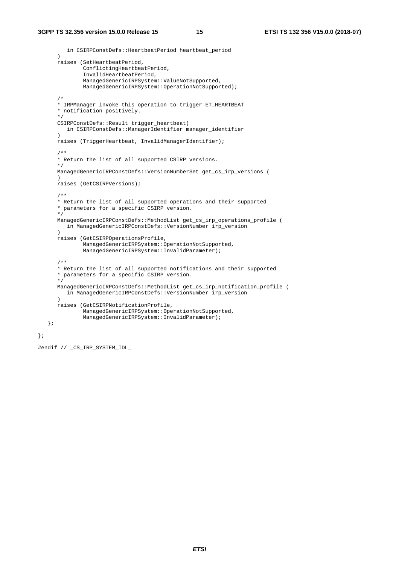```
 in CSIRPConstDefs::HeartbeatPeriod heartbeat_period 
\overline{\phantom{a}} raises (SetHeartbeatPeriod, 
               ConflictingHeartbeatPeriod, 
                InvalidHeartbeatPeriod, 
                ManagedGenericIRPSystem::ValueNotSupported, 
               ManagedGenericIRPSystem::OperationNotSupported); 
       /* 
       * IRPManager invoke this operation to trigger ET_HEARTBEAT 
       * notification positively. 
       */ 
       CSIRPConstDefs::Result trigger_heartbeat( 
          in CSIRPConstDefs::ManagerIdentifier manager_identifier 
 ) 
      raises (TriggerHeartbeat, InvalidManagerIdentifier); 
       /** 
       * Return the list of all supported CSIRP versions. 
       */ 
       ManagedGenericIRPConstDefs::VersionNumberSet get_cs_irp_versions ( 
       ) 
       raises (GetCSIRPVersions); 
       /** 
       * Return the list of all supported operations and their supported 
       * parameters for a specific CSIRP version. 
       */ 
       ManagedGenericIRPConstDefs::MethodList get_cs_irp_operations_profile ( 
          in ManagedGenericIRPConstDefs::VersionNumber irp_version 
\overline{\phantom{a}} raises (GetCSIRPOperationsProfile, 
               ManagedGenericIRPSystem::OperationNotSupported, 
               ManagedGenericIRPSystem::InvalidParameter); 
       /** 
       * Return the list of all supported notifications and their supported 
       * parameters for a specific CSIRP version. 
       */ 
       ManagedGenericIRPConstDefs::MethodList get_cs_irp_notification_profile ( 
          in ManagedGenericIRPConstDefs::VersionNumber irp_version 
\overline{\phantom{a}} raises (GetCSIRPNotificationProfile, 
               ManagedGenericIRPSystem::OperationNotSupported, 
               ManagedGenericIRPSystem::InvalidParameter); 
   };
```
#endif // \_CS\_IRP\_SYSTEM\_IDL\_

};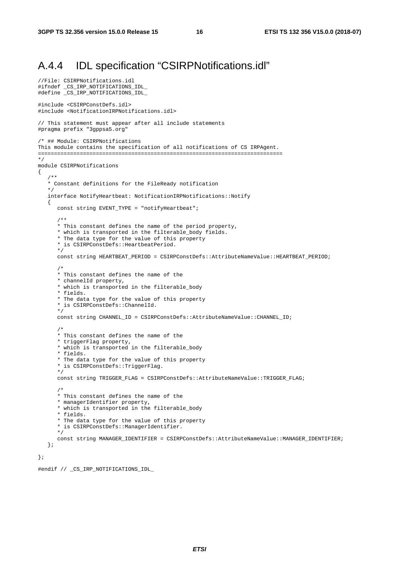#### A.4.4 IDL specification "CSIRPNotifications.idl"

```
//File: CSIRPNotifications.idl 
#ifndef _CS_IRP_NOTIFICATIONS_IDL_ 
#define _CS_IRP_NOTIFICATIONS_IDL_ 
#include <CSIRPConstDefs.idl> 
#include <NotificationIRPNotifications.idl> 
// This statement must appear after all include statements 
#pragma prefix "3gppsa5.org" 
/* ## Module: CSIRPNotifications 
This module contains the specification of all notifications of CS IRPAgent. 
============================================================================ 
*/ 
module CSIRPNotifications 
{ 
    /** 
    * Constant definitions for the FileReady notification 
    */ 
    interface NotifyHeartbeat: NotificationIRPNotifications::Notify 
    { 
       const string EVENT_TYPE = "notifyHeartbeat"; 
       /** 
       * This constant defines the name of the period property, 
       * which is transported in the filterable_body fields. 
       * The data type for the value of this property 
       * is CSIRPConstDefs::HeartbeatPeriod. 
       */ 
       const string HEARTBEAT_PERIOD = CSIRPConstDefs::AttributeNameValue::HEARTBEAT_PERIOD; 
       /* 
       * This constant defines the name of the 
       * channelId property, 
       * which is transported in the filterable_body 
       * fields. 
       * The data type for the value of this property 
       * is CSIRPConstDefs::ChannelId. 
       */ 
       const string CHANNEL_ID = CSIRPConstDefs::AttributeNameValue::CHANNEL_ID; 
       /* 
       * This constant defines the name of the 
       * triggerFlag property, 
       * which is transported in the filterable_body 
       * fields. 
       * The data type for the value of this property 
       * is CSIRPConstDefs::TriggerFlag. 
       */ 
       const string TRIGGER_FLAG = CSIRPConstDefs::AttributeNameValue::TRIGGER_FLAG; 
       /* 
       * This constant defines the name of the 
       * managerIdentifier property, 
       * which is transported in the filterable_body 
       * fields. 
       * The data type for the value of this property 
       * is CSIRPConstDefs::ManagerIdentifier. 
       */ 
       const string MANAGER_IDENTIFIER = CSIRPConstDefs::AttributeNameValue::MANAGER_IDENTIFIER; 
    };
```
};

#endif // \_CS\_IRP\_NOTIFICATIONS\_IDL\_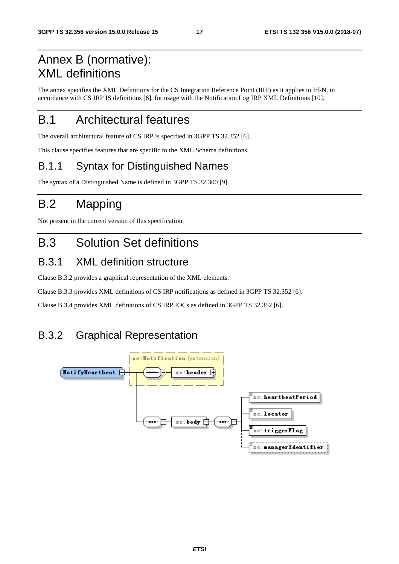### Annex B (normative): XML definitions

The annex specifies the XML Definitions for the CS Integration Reference Point (IRP) as it applies to Itf-N, in accordance with CS IRP IS definitions [6], for usage with the Notification Log IRP XML Definitions [10].

### B.1 Architectural features

The overall architectural feature of CS IRP is specified in 3GPP TS 32.352 [6].

This clause specifies features that are specific to the XML Schema definitions.

#### B.1.1 Syntax for Distinguished Names

The syntax of a Distinguished Name is defined in 3GPP TS 32.300 [9].

### B.2 Mapping

Not present in the current version of this specification.

### B.3 Solution Set definitions

#### B.3.1 XML definition structure

Clause B.3.2 provides a graphical representation of the XML elements.

Clause B.3.3 provides XML definitions of CS IRP notifications as defined in 3GPP TS 32.352 [6].

Clause B.3.4 provides XML definitions of CS IRP IOCs as defined in 3GPP TS 32.352 [6].

#### B.3.2 Graphical Representation

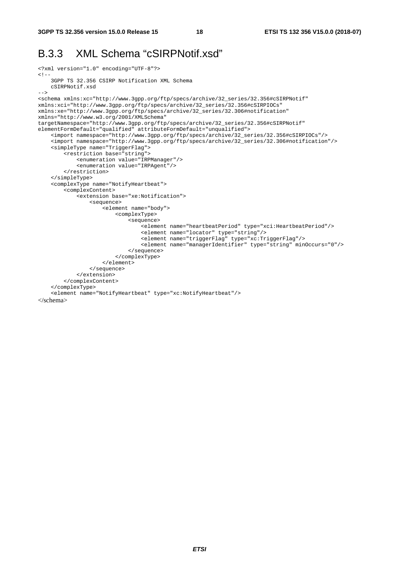#### B.3.3 XML Schema "cSIRPNotif.xsd"

```
<?xml version="1.0" encoding="UTF-8"?> 
\lt ! - 3GPP TS 32.356 CSIRP Notification XML Schema 
     cSIRPNotif.xsd 
--&><schema xmlns:xc="http://www.3gpp.org/ftp/specs/archive/32_series/32.356#cSIRPNotif" 
xmlns:xci="http://www.3gpp.org/ftp/specs/archive/32_series/32.356#cSIRPIOCs" 
xmlns:xe="http://www.3gpp.org/ftp/specs/archive/32_series/32.306#notification" 
xmlns="http://www.w3.org/2001/XMLSchema" 
targetNamespace="http://www.3gpp.org/ftp/specs/archive/32_series/32.356#cSIRPNotif" 
elementFormDefault="qualified" attributeFormDefault="unqualified"> 
     <import namespace="http://www.3gpp.org/ftp/specs/archive/32_series/32.356#cSIRPIOCs"/> 
     <import namespace="http://www.3gpp.org/ftp/specs/archive/32_series/32.306#notification"/> 
     <simpleType name="TriggerFlag"> 
         <restriction base="string"> 
             <enumeration value="IRPManager"/> 
             <enumeration value="IRPAgent"/> 
         </restriction> 
     </simpleType> 
     <complexType name="NotifyHeartbeat"> 
         <complexContent> 
             <extension base="xe:Notification"> 
                  <sequence> 
                      <element name="body"> 
                          <complexType> 
                               <sequence> 
                                   <element name="heartbeatPeriod" type="xci:HeartbeatPeriod"/> 
                                   <element name="locator" type="string"/> 
                                   <element name="triggerFlag" type="xc:TriggerFlag"/> 
                                   <element name="managerIdentifier" type="string" minOccurs="0"/> 
                               </sequence> 
                          </complexType> 
                      </element> 
                  </sequence> 
             </extension> 
         </complexContent> 
     </complexType> 
     <element name="NotifyHeartbeat" type="xc:NotifyHeartbeat"/> 
</schema>
```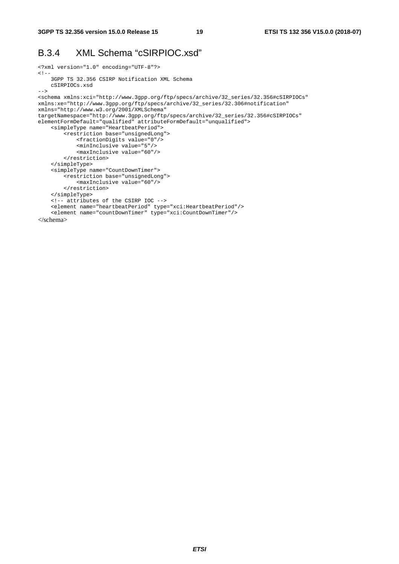#### B.3.4 XML Schema "cSIRPIOC.xsd"

```
<?xml version="1.0" encoding="UTF-8"?> 
\lt! --
     3GPP TS 32.356 CSIRP Notification XML Schema 
     cSIRPIOCs.xsd 
--&><schema xmlns:xci="http://www.3gpp.org/ftp/specs/archive/32_series/32.356#cSIRPIOCs" 
xmlns:xe="http://www.3gpp.org/ftp/specs/archive/32_series/32.306#notification" 
xmlns="http://www.w3.org/2001/XMLSchema" 
targetNamespace="http://www.3gpp.org/ftp/specs/archive/32_series/32.356#cSIRPIOCs" 
elementFormDefault="qualified" attributeFormDefault="unqualified"> 
     <simpleType name="HeartbeatPeriod"> 
         <restriction base="unsignedLong"> 
             <fractionDigits value="0"/> 
             <minInclusive value="5"/> 
             <maxInclusive value="60"/> 
         </restriction> 
     </simpleType> 
     <simpleType name="CountDownTimer"> 
         <restriction base="unsignedLong"> 
            <maxInclusive value="60"/> 
         </restriction> 
     </simpleType> 
     <!-- attributes of the CSIRP IOC --> 
     <element name="heartbeatPeriod" type="xci:HeartbeatPeriod"/> 
     <element name="countDownTimer" type="xci:CountDownTimer"/> 
</schema>
```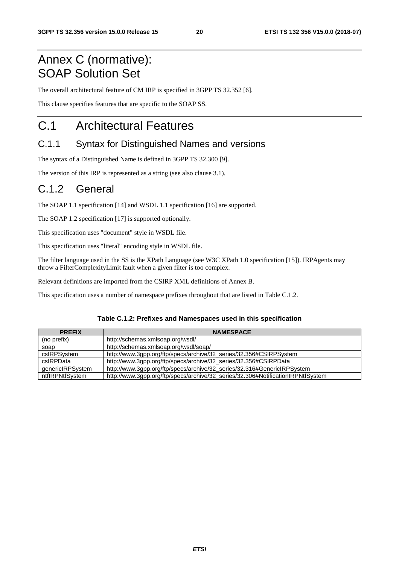### Annex C (normative): SOAP Solution Set

The overall architectural feature of CM IRP is specified in 3GPP TS 32.352 [6].

This clause specifies features that are specific to the SOAP SS.

### C.1 Architectural Features

#### C.1.1 Syntax for Distinguished Names and versions

The syntax of a Distinguished Name is defined in 3GPP TS 32.300 [9].

The version of this IRP is represented as a string (see also clause 3.1).

#### C.1.2 General

The SOAP 1.1 specification [14] and WSDL 1.1 specification [16] are supported.

The SOAP 1.2 specification [17] is supported optionally.

This specification uses "document" style in WSDL file.

This specification uses "literal" encoding style in WSDL file.

The filter language used in the SS is the XPath Language (see W3C XPath 1.0 specification [15]). IRPAgents may throw a FilterComplexityLimit fault when a given filter is too complex.

Relevant definitions are imported from the CSIRP XML definitions of Annex B.

This specification uses a number of namespace prefixes throughout that are listed in Table C.1.2.

#### **Table C.1.2: Prefixes and Namespaces used in this specification**

| <b>PREFIX</b>    | <b>NAMESPACE</b>                                                                |
|------------------|---------------------------------------------------------------------------------|
| (no prefix)      | http://schemas.xmlsoap.org/wsdl/                                                |
| soap             | http://schemas.xmlsoap.org/wsdl/soap/                                           |
| csIRPSystem      | http://www.3gpp.org/ftp/specs/archive/32_series/32.356#CSIRPSystem              |
| csIRPData        | http://www.3gpp.org/ftp/specs/archive/32_series/32.356#CSIRPData                |
| genericIRPSystem | http://www.3gpp.org/ftp/specs/archive/32_series/32.316#GenericlRPSystem         |
| ntflRPNtfSystem  | http://www.3gpp.org/ftp/specs/archive/32_series/32.306#NotificationIRPNtfSystem |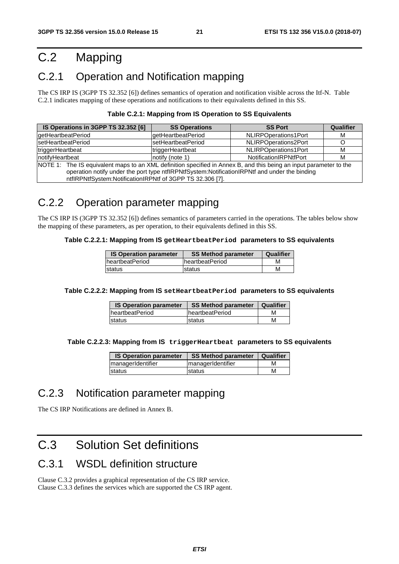### C.2 Mapping

#### C.2.1 Operation and Notification mapping

The CS IRP IS (3GPP TS 32.352 [6]) defines semantics of operation and notification visible across the Itf-N. Table C.2.1 indicates mapping of these operations and notifications to their equivalents defined in this SS.

| IS Operations in 3GPP TS 32.352 [6]                                                                                                                                                                                                                                              | <b>SS Operations</b> | <b>SS Port</b>         | Qualifier |  |
|----------------------------------------------------------------------------------------------------------------------------------------------------------------------------------------------------------------------------------------------------------------------------------|----------------------|------------------------|-----------|--|
| getHeartbeatPeriod                                                                                                                                                                                                                                                               | getHeartbeatPeriod   | NLIRPOperations1Port   | м         |  |
| <b>setHeartbeatPeriod</b>                                                                                                                                                                                                                                                        | setHeartbeatPeriod   | NLIRPOperations2Port   |           |  |
| triggerHeartbeat                                                                                                                                                                                                                                                                 | triggerHeartbeat     | NLIRPOperations1Port   | M         |  |
| InotifyHeartbeat                                                                                                                                                                                                                                                                 | notify (note 1)      | NotificationIRPNtfPort | M         |  |
| NOTE 1: The IS equivalent maps to an XML definition specified in Annex B, and this being an input parameter to the<br>operation notify under the port type ntflRPNtfSystem:NotificationIRPNtf and under the binding<br>ntflRPNtfSystem:NotificationIRPNtf of 3GPP TS 32.306 [7]. |                      |                        |           |  |

#### **Table C.2.1: Mapping from IS Operation to SS Equivalents**

#### C.2.2 Operation parameter mapping

The CS IRP IS (3GPP TS 32.352 [6]) defines semantics of parameters carried in the operations. The tables below show the mapping of these parameters, as per operation, to their equivalents defined in this SS.

#### **Table C.2.2.1: Mapping from IS getHeartbeatPeriod parameters to SS equivalents**

| <b>IS Operation parameter</b> | <b>SS Method parameter</b> | Qualifier |
|-------------------------------|----------------------------|-----------|
| <b>IheartbeatPeriod</b>       | <b>IheartbeatPeriod</b>    | м         |
| <b>Istatus</b>                | <b>status</b>              | м         |

#### **Table C.2.2.2: Mapping from IS setHeartbeatPeriod parameters to SS equivalents**

| <b>IS Operation parameter</b> | <b>SS Method parameter</b> | Qualifier |
|-------------------------------|----------------------------|-----------|
| <b>heartbeatPeriod</b>        | <b>IheartbeatPeriod</b>    | м         |
| status                        | status                     | м         |

**Table C.2.2.3: Mapping from IS triggerHeartbeat parameters to SS equivalents** 

| <b>IS Operation parameter</b> | <b>SS Method parameter</b> | Qualifier |
|-------------------------------|----------------------------|-----------|
| managerIdentifier             | managerIdentifier          | M         |
| status                        | <b>status</b>              | м         |

#### C.2.3 Notification parameter mapping

The CS IRP Notifications are defined in Annex B.

### C.3 Solution Set definitions

#### C.3.1 WSDL definition structure

Clause C.3.2 provides a graphical representation of the CS IRP service. Clause C.3.3 defines the services which are supported the CS IRP agent.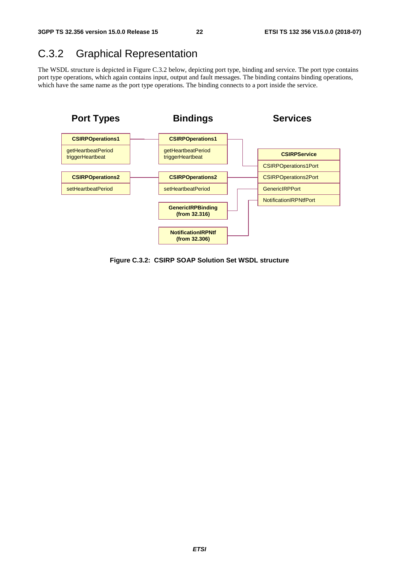#### C.3.2 Graphical Representation

The WSDL structure is depicted in Figure C.3.2 below, depicting port type, binding and service. The port type contains port type operations, which again contains input, output and fault messages. The binding contains binding operations, which have the same name as the port type operations. The binding connects to a port inside the service.



**Figure C.3.2: CSIRP SOAP Solution Set WSDL structure**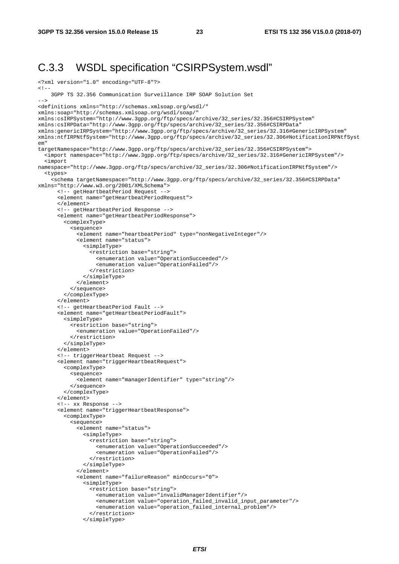#### C.3.3 WSDL specification "CSIRPSystem.wsdl"

```
<?xml version="1.0" encoding="UTF-8"?> 
<! --
     3GPP TS 32.356 Communication Surveillance IRP SOAP Solution Set 
--\sim<definitions xmlns="http://schemas.xmlsoap.org/wsdl/" 
xmlns:soap="http://schemas.xmlsoap.org/wsdl/soap/" 
xmlns:csIRPSystem="http://www.3gpp.org/ftp/specs/archive/32_series/32.356#CSIRPSystem" 
xmlns:csIRPData="http://www.3gpp.org/ftp/specs/archive/32_series/32.356#CSIRPData" 
xmlns:genericIRPSystem="http://www.3gpp.org/ftp/specs/archive/32_series/32.316#GenericIRPSystem" 
xmlns:ntfIRPNtfSystem="http://www.3gpp.org/ftp/specs/archive/32_series/32.306#NotificationIRPNtfSyst
em" 
targetNamespace="http://www.3gpp.org/ftp/specs/archive/32_series/32.356#CSIRPSystem"> 
   <import namespace="http://www.3gpp.org/ftp/specs/archive/32_series/32.316#GenericIRPSystem"/> 
   <import 
namespace="http://www.3gpp.org/ftp/specs/archive/32_series/32.306#NotificationIRPNtfSystem"/> 
   <types> 
     <schema targetNamespace="http://www.3gpp.org/ftp/specs/archive/32_series/32.356#CSIRPData" 
xmlns="http://www.w3.org/2001/XMLSchema"> 
       <!-- getHeartbeatPeriod Request --> 
       <element name="getHeartbeatPeriodRequest"> 
      \epsilon/element>
       <!-- getHeartbeatPeriod Response --> 
       <element name="getHeartbeatPeriodResponse"> 
         <complexType> 
           <sequence> 
             <element name="heartbeatPeriod" type="nonNegativeInteger"/> 
             <element name="status"> 
                <simpleType> 
                  <restriction base="string"> 
                    <enumeration value="OperationSucceeded"/> 
                    <enumeration value="OperationFailed"/> 
                  </restriction> 
                </simpleType> 
              </element> 
           </sequence> 
         </complexType> 
       </element> 
       <!-- getHeartbeatPeriod Fault --> 
       <element name="getHeartbeatPeriodFault"> 
         <simpleType> 
           <restriction base="string"> 
             <enumeration value="OperationFailed"/> 
           </restriction> 
         </simpleType> 
       </element> 
       <!-- triggerHeartbeat Request --> 
       <element name="triggerHeartbeatRequest"> 
         <complexType> 
           <sequence> 
             <element name="managerIdentifier" type="string"/> 
           </sequence> 
         </complexType> 
       </element> 
       <!-- xx Response --> 
       <element name="triggerHeartbeatResponse"> 
         <complexType> 
           <sequence> 
             <element name="status"> 
                <simpleType> 
                  <restriction base="string"> 
                    <enumeration value="OperationSucceeded"/> 
                    <enumeration value="OperationFailed"/> 
                  </restriction> 
                </simpleType> 
              </element> 
              <element name="failureReason" minOccurs="0"> 
                <simpleType> 
                  <restriction base="string"> 
                    <enumeration value="invalidManagerIdentifier"/> 
                    <enumeration value="operation_failed_invalid_input_parameter"/> 
                    <enumeration value="operation_failed_internal_problem"/> 
                  </restriction> 
                </simpleType>
```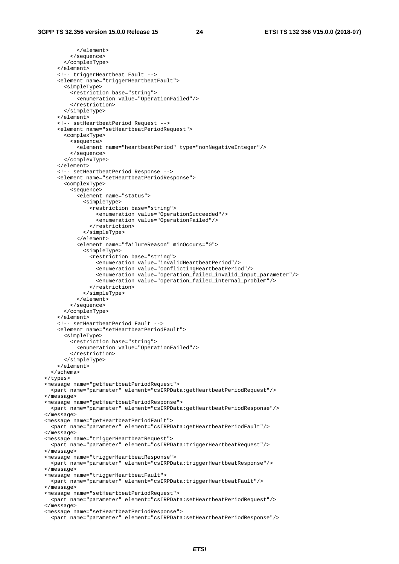</element> </sequence> </complexType> </element> <!-- triggerHeartbeat Fault --> <element name="triggerHeartbeatFault"> <simpleType> <restriction base="string"> <enumeration value="OperationFailed"/> </restriction> </simpleType> </element> <!-- setHeartbeatPeriod Request --> <element name="setHeartbeatPeriodRequest"> <complexType> <sequence> <element name="heartbeatPeriod" type="nonNegativeInteger"/> </sequence> </complexType> </element> <!-- setHeartbeatPeriod Response --> <element name="setHeartbeatPeriodResponse"> <complexType> <sequence> <element name="status"> <simpleType> <restriction base="string"> <enumeration value="OperationSucceeded"/> <enumeration value="OperationFailed"/> </restriction> </simpleType> </element> <element name="failureReason" minOccurs="0"> <simpleType> <restriction base="string"> <enumeration value="invalidHeartbeatPeriod"/> <enumeration value="conflictingHeartbeatPeriod"/> <enumeration value="operation\_failed\_invalid\_input\_parameter"/> <enumeration value="operation\_failed\_internal\_problem"/> </restriction> </simpleType> </element> </sequence> </complexType> </element> <!-- setHeartbeatPeriod Fault --> <element name="setHeartbeatPeriodFault"> <simpleType> <restriction base="string"> <enumeration value="OperationFailed"/> </restriction> </simpleType> </element> </schema> </types> <message name="getHeartbeatPeriodRequest"> <part name="parameter" element="csIRPData:getHeartbeatPeriodRequest"/> </message> <message name="getHeartbeatPeriodResponse"> <part name="parameter" element="csIRPData:getHeartbeatPeriodResponse"/> </message> <message name="getHeartbeatPeriodFault"> <part name="parameter" element="csIRPData:getHeartbeatPeriodFault"/> </message> <message name="triggerHeartbeatRequest"> <part name="parameter" element="csIRPData:triggerHeartbeatRequest"/> </message> <message name="triggerHeartbeatResponse"> <part name="parameter" element="csIRPData:triggerHeartbeatResponse"/> </message> <message name="triggerHeartbeatFault"> <part name="parameter" element="csIRPData:triggerHeartbeatFault"/> </message> <message name="setHeartbeatPeriodRequest"> <part name="parameter" element="csIRPData:setHeartbeatPeriodRequest"/> </message> <message name="setHeartbeatPeriodResponse"> <part name="parameter" element="csIRPData:setHeartbeatPeriodResponse"/>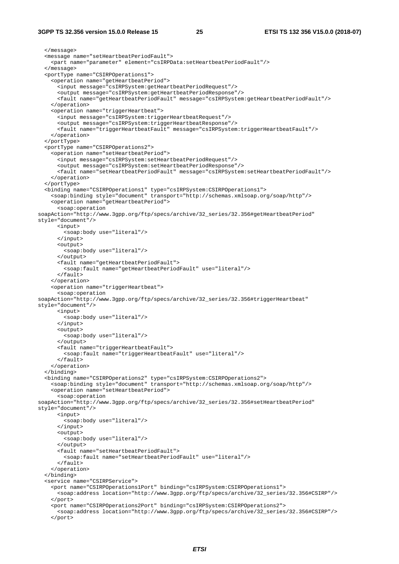#### **3GPP TS 32.356 version 15.0.0 Release 15 25 ETSI TS 132 356 V15.0.0 (2018-07)**

 </message> <message name="setHeartbeatPeriodFault"> <part name="parameter" element="csIRPData:setHeartbeatPeriodFault"/> </message> <portType name="CSIRPOperations1"> <operation name="getHeartbeatPeriod"> <input message="csIRPSystem:getHeartbeatPeriodRequest"/> <output message="csIRPSystem:getHeartbeatPeriodResponse"/> <fault name="getHeartbeatPeriodFault" message="csIRPSystem:getHeartbeatPeriodFault"/> </operation> <operation name="triggerHeartbeat"> <input message="csIRPSystem:triggerHeartbeatRequest"/> <output message="csIRPSystem:triggerHeartbeatResponse"/> <fault name="triggerHeartbeatFault" message="csIRPSystem:triggerHeartbeatFault"/> </operation> </portType> <portType name="CSIRPOperations2"> <operation name="setHeartbeatPeriod"> <input message="csIRPSystem:setHeartbeatPeriodRequest"/> <output message="csIRPSystem:setHeartbeatPeriodResponse"/> <fault name="setHeartbeatPeriodFault" message="csIRPSystem:setHeartbeatPeriodFault"/> </operation> </portType> <binding name="CSIRPOperations1" type="csIRPSystem:CSIRPOperations1"> <soap:binding style="document" transport="http://schemas.xmlsoap.org/soap/http"/> <operation name="getHeartbeatPeriod"> <soap:operation soapAction="http://www.3gpp.org/ftp/specs/archive/32\_series/32.356#getHeartbeatPeriod" style="document"/> <input> <soap:body use="literal"/> </input> <output> <soap:body use="literal"/> </output> <fault name="getHeartbeatPeriodFault"> <soap:fault name="getHeartbeatPeriodFault" use="literal"/> </fault> </operation> <operation name="triggerHeartbeat"> <soap:operation soapAction="http://www.3gpp.org/ftp/specs/archive/32\_series/32.356#triggerHeartbeat" style="document"/> <input> <soap:body use="literal"/> </input> <output> <soap:body use="literal"/> </output> <fault name="triggerHeartbeatFault"> <soap:fault name="triggerHeartbeatFault" use="literal"/>  $\epsilon$  / fault> </operation> </binding> <binding name="CSIRPOperations2" type="csIRPSystem:CSIRPOperations2"> <soap:binding style="document" transport="http://schemas.xmlsoap.org/soap/http"/> <operation name="setHeartbeatPeriod"> <soap:operation soapAction="http://www.3qpp.org/ftp/specs/archive/32\_series/32.356#setHeartbeatPeriod" style="document"/> <input> <soap:body use="literal"/> </input> <output> <soap:body use="literal"/> </output> <fault name="setHeartbeatPeriodFault"> <soap:fault name="setHeartbeatPeriodFault" use="literal"/> </fault> </operation> </binding> <service name="CSIRPService"> <port name="CSIRPOperations1Port" binding="csIRPSystem:CSIRPOperations1"> <soap:address location="http://www.3gpp.org/ftp/specs/archive/32\_series/32.356#CSIRP"/> </port> <port name="CSIRPOperations2Port" binding="csIRPSystem:CSIRPOperations2"> <soap:address location="http://www.3gpp.org/ftp/specs/archive/32\_series/32.356#CSIRP"/> </port>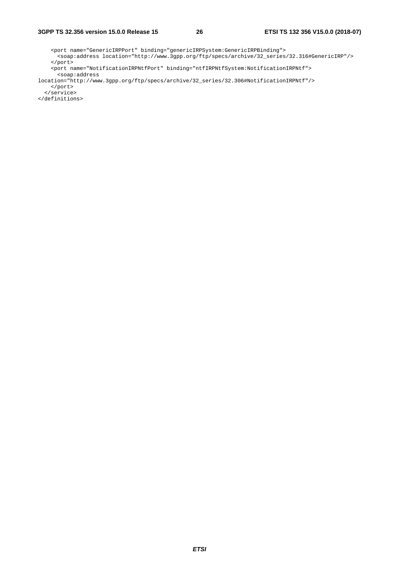<port name="GenericIRPPort" binding="genericIRPSystem:GenericIRPBinding"> <soap:address location="http://www.3gpp.org/ftp/specs/archive/32\_series/32.316#GenericIRP"/> </port> <port name="NotificationIRPNtfPort" binding="ntfIRPNtfSystem:NotificationIRPNtf">

```
 <soap:address 
location="http://www.3gpp.org/ftp/specs/archive/32_series/32.306#NotificationIRPNtf"/> 
    </port>
```

```
 </service>
```
</definitions>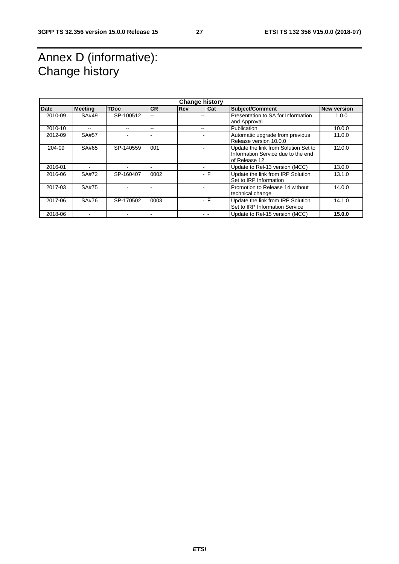### Annex D (informative): Change history

| <b>Change history</b> |                |             |           |            |     |                                                                                             |                    |
|-----------------------|----------------|-------------|-----------|------------|-----|---------------------------------------------------------------------------------------------|--------------------|
| <b>Date</b>           | <b>Meeting</b> | <b>TDoc</b> | <b>CR</b> | <b>Rev</b> | Cat | Subject/Comment                                                                             | <b>New version</b> |
| 2010-09               | SA#49          | SP-100512   | --        |            |     | Presentation to SA for Information<br>and Approval                                          | 1.0.0              |
| 2010-10               |                | --          | --        |            |     | Publication                                                                                 | 10.0.0             |
| 2012-09               | SA#57          |             |           |            |     | Automatic upgrade from previous<br>Release version 10.0.0                                   | 11.0.0             |
| 204-09                | SA#65          | SP-140559   | 001       |            |     | Update the link from Solution Set to<br>Information Service due to the end<br>of Release 12 | 12.0.0             |
| 2016-01               |                |             |           |            |     | Update to Rel-13 version (MCC)                                                              | 13.0.0             |
| 2016-06               | SA#72          | SP-160407   | 0002      |            | -IF | Update the link from IRP Solution<br>Set to IRP Information                                 | 13.1.0             |
| 2017-03               | SA#75          |             |           |            |     | Promotion to Release 14 without<br>technical change                                         | 14.0.0             |
| 2017-06               | SA#76          | SP-170502   | 0003      |            | -IF | Update the link from IRP Solution<br>Set to IRP Information Service                         | 14.1.0             |
| 2018-06               |                |             |           |            |     | Update to Rel-15 version (MCC)                                                              | 15.0.0             |